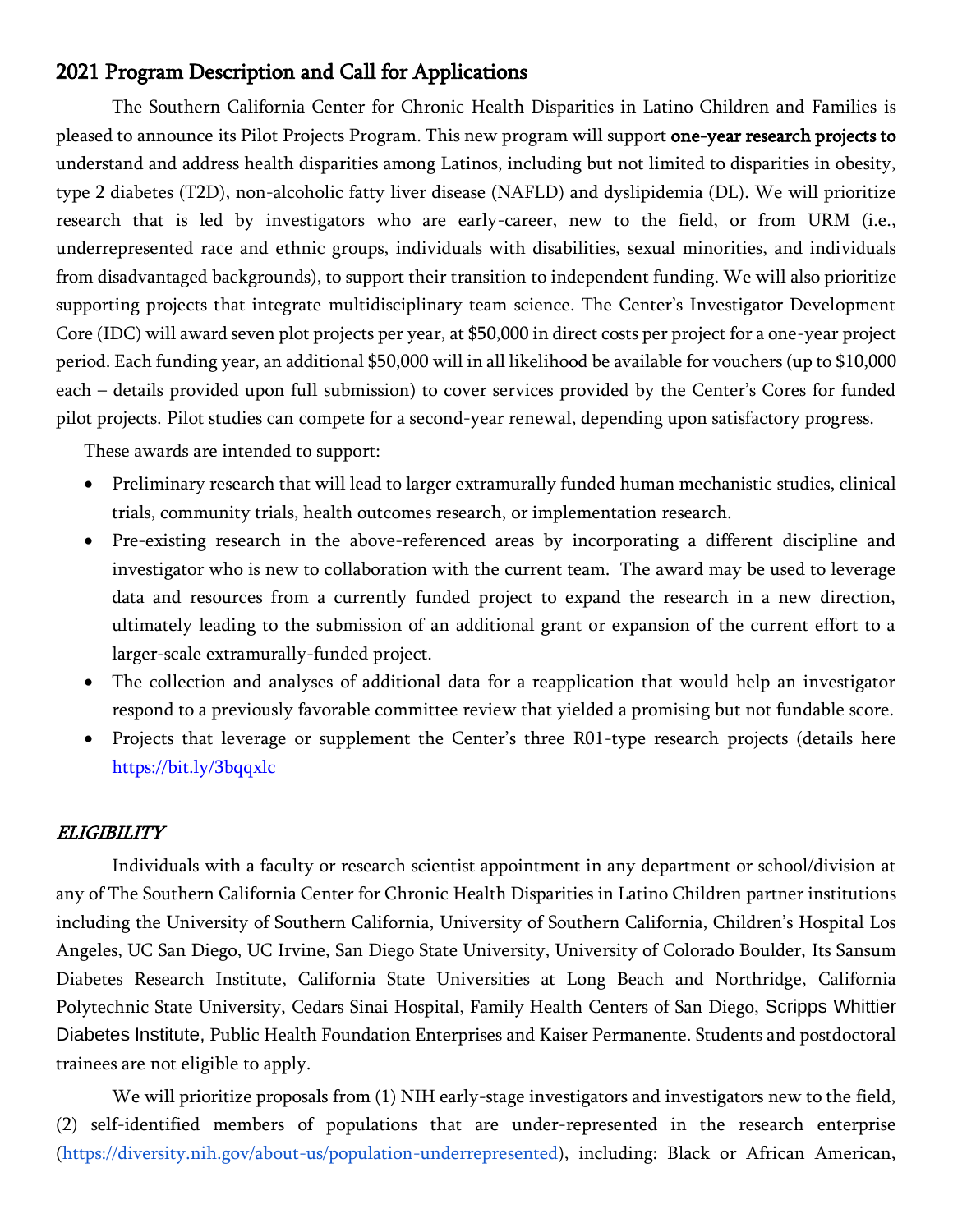# 2021 Program Description and Call for Applications

The Southern California Center for Chronic Health Disparities in Latino Children and Families is pleased to announce its Pilot Projects Program. This new program will support one-year research projects to understand and address health disparities among Latinos, including but not limited to disparities in obesity, type 2 diabetes (T2D), non-alcoholic fatty liver disease (NAFLD) and dyslipidemia (DL). We will prioritize research that is led by investigators who are early-career, new to the field, or from URM (i.e., underrepresented race and ethnic groups, individuals with disabilities, sexual minorities, and individuals from disadvantaged backgrounds), to support their transition to independent funding. We will also prioritize supporting projects that integrate multidisciplinary team science. The Center's Investigator Development Core (IDC) will award seven plot projects per year, at \$50,000 in direct costs per project for a one-year project period. Each funding year, an additional \$50,000 will in all likelihood be available for vouchers (up to \$10,000 each – details provided upon full submission) to cover services provided by the Center's Cores for funded pilot projects. Pilot studies can compete for a second-year renewal, depending upon satisfactory progress.

These awards are intended to support:

- Preliminary research that will lead to larger extramurally funded human mechanistic studies, clinical trials, community trials, health outcomes research, or implementation research.
- Pre-existing research in the above-referenced areas by incorporating a different discipline and investigator who is new to collaboration with the current team. The award may be used to leverage data and resources from a currently funded project to expand the research in a new direction, ultimately leading to the submission of an additional grant or expansion of the current effort to a larger-scale extramurally-funded project.
- The collection and analyses of additional data for a reapplication that would help an investigator respond to a previously favorable committee review that yielded a promising but not fundable score.
- Projects that leverage or supplement the Center's three R01-type research projects (details here <https://bit.ly/3bqqxlc>

## ELIGIBILITY

Individuals with a faculty or research scientist appointment in any department or school/division at any of The Southern California Center for Chronic Health Disparities in Latino Children partner institutions including the University of Southern California, University of Southern California, Children's Hospital Los Angeles, UC San Diego, UC Irvine, San Diego State University, University of Colorado Boulder, Its Sansum Diabetes Research Institute, California State Universities at Long Beach and Northridge, California Polytechnic State University, Cedars Sinai Hospital, Family Health Centers of San Diego, Scripps Whittier Diabetes Institute, Public Health Foundation Enterprises and Kaiser Permanente. Students and postdoctoral trainees are not eligible to apply.

We will prioritize proposals from (1) NIH early-stage investigators and investigators new to the field, (2) self-identified members of populations that are under-represented in the research enterprise [\(https://diversity.nih.gov/about-us/population-underrepresented\)](https://diversity.nih.gov/about-us/population-underrepresented), including: Black or African American,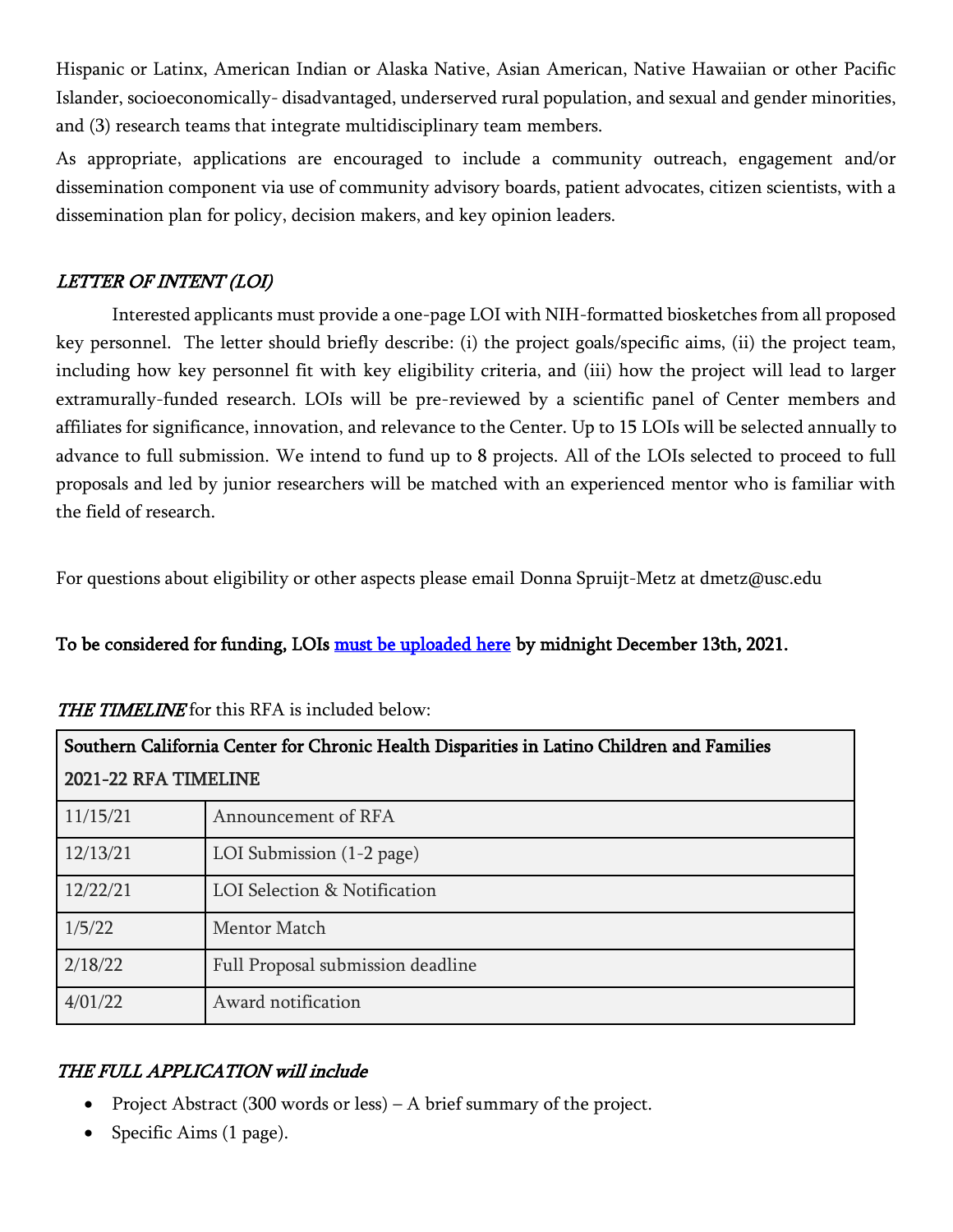Hispanic or Latinx, American Indian or Alaska Native, Asian American, Native Hawaiian or other Pacific Islander, socioeconomically- disadvantaged, underserved rural population, and sexual and gender minorities, and (3) research teams that integrate multidisciplinary team members.

As appropriate, applications are encouraged to include a community outreach, engagement and/or dissemination component via use of community advisory boards, patient advocates, citizen scientists, with a dissemination plan for policy, decision makers, and key opinion leaders.

### LETTER OF INTENT (LOI)

Interested applicants must provide a one-page LOI with NIH-formatted biosketches from all proposed key personnel. The letter should briefly describe: (i) the project goals/specific aims, (ii) the project team, including how key personnel fit with key eligibility criteria, and (iii) how the project will lead to larger extramurally-funded research. LOIs will be pre-reviewed by a scientific panel of Center members and affiliates for significance, innovation, and relevance to the Center. Up to 15 LOIs will be selected annually to advance to full submission. We intend to fund up to 8 projects. All of the LOIs selected to proceed to full proposals and led by junior researchers will be matched with an experienced mentor who is familiar with the field of research.

For questions about eligibility or other aspects please email Donna Spruijt-Metz at dmetz@usc.edu

# To be considered for funding, LOIs [must be uploaded here](https://airtable.com/shr2fP7kCwDCki2jG) by midnight December 13th, 2021.

| Southern California Center for Chronic Health Disparities in Latino Children and Families |                                   |
|-------------------------------------------------------------------------------------------|-----------------------------------|
| 2021-22 RFA TIMELINE                                                                      |                                   |
| 11/15/21                                                                                  | Announcement of RFA               |
| 12/13/21                                                                                  | LOI Submission $(1-2$ page)       |
| 12/22/21                                                                                  | LOI Selection & Notification      |
| 1/5/22                                                                                    | <b>Mentor Match</b>               |
| 2/18/22                                                                                   | Full Proposal submission deadline |
| 4/01/22                                                                                   | Award notification                |

#### THE TIMELINE for this RFA is included below:

## THE FULL APPLICATION will include

- Project Abstract (300 words or less) A brief summary of the project.
- Specific Aims (1 page).